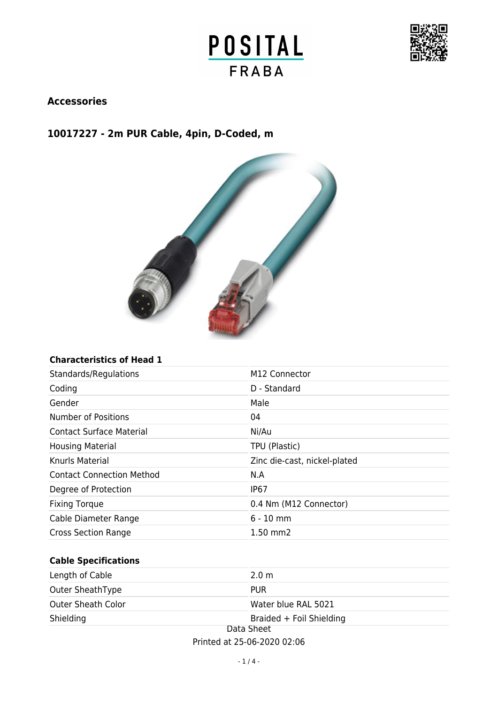



## **Accessories**

## **10017227 - 2m PUR Cable, 4pin, D-Coded, m**



### **Characteristics of Head 1**

| Standards/Regulations            | M12 Connector                |
|----------------------------------|------------------------------|
| Coding                           | D - Standard                 |
| Gender                           | Male                         |
| <b>Number of Positions</b>       | 04                           |
| <b>Contact Surface Material</b>  | Ni/Au                        |
| <b>Housing Material</b>          | TPU (Plastic)                |
| Knurls Material                  | Zinc die-cast, nickel-plated |
| <b>Contact Connection Method</b> | N.A                          |
| Degree of Protection             | IP <sub>67</sub>             |
| <b>Fixing Torque</b>             | 0.4 Nm (M12 Connector)       |
| Cable Diameter Range             | $6 - 10$ mm                  |
| <b>Cross Section Range</b>       | $1.50$ mm $2$                |

### **Cable Specifications**

| Length of Cable           | 2.0 <sub>m</sub>         |
|---------------------------|--------------------------|
| Outer SheathType          | <b>PUR</b>               |
| <b>Outer Sheath Color</b> | Water blue RAL 5021      |
| Shielding                 | Braided + Foil Shielding |
| Data Sheet                |                          |

Printed at 25-06-2020 02:06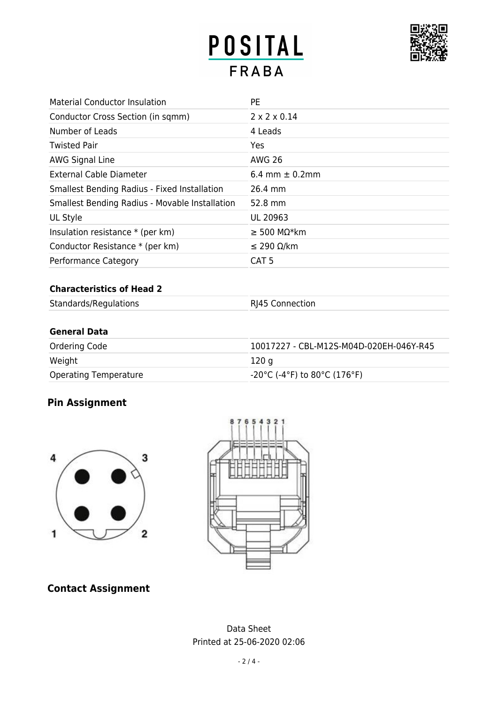# POSITAL **FRABA**



| <b>Material Conductor Insulation</b>                | <b>PE</b>                |
|-----------------------------------------------------|--------------------------|
| Conductor Cross Section (in sqmm)                   | $2 \times 2 \times 0.14$ |
| Number of Leads                                     | 4 Leads                  |
| <b>Twisted Pair</b>                                 | Yes                      |
| AWG Signal Line                                     | <b>AWG 26</b>            |
| <b>External Cable Diameter</b>                      | 6.4 mm $\pm$ 0.2mm       |
| <b>Smallest Bending Radius - Fixed Installation</b> | 26.4 mm                  |
| Smallest Bending Radius - Movable Installation      | 52.8 mm                  |
| UL Style                                            | UL 20963                 |
| Insulation resistance $*$ (per km)                  | $\geq$ 500 MΩ*km         |
| Conductor Resistance * (per km)                     | $≤$ 290 Ω/km             |
| Performance Category                                | CAT <sub>5</sub>         |

### **Characteristics of Head 2**

| Standards/Regulations | RJ45 Connection |
|-----------------------|-----------------|
|                       |                 |
|                       |                 |

### **General Data**

| Ordering Code                | 10017227 - CBL-M12S-M04D-020EH-046Y-R45                                 |
|------------------------------|-------------------------------------------------------------------------|
| Weight                       | 120 a                                                                   |
| <b>Operating Temperature</b> | $-20^{\circ}$ C (-4 $^{\circ}$ F) to 80 $^{\circ}$ C (176 $^{\circ}$ F) |

# **Pin Assignment**





# **Contact Assignment**

Data Sheet Printed at 25-06-2020 02:06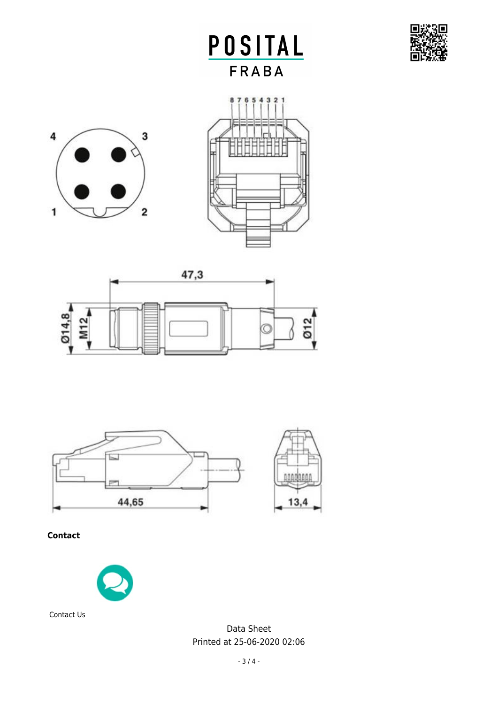

POSITAL **FRABA** 









**Contact**



Contact Us

Data Sheet Printed at 25-06-2020 02:06